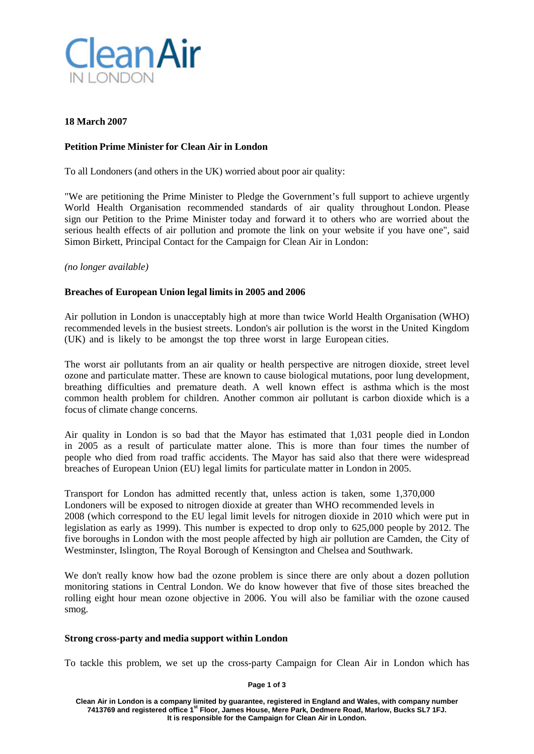

## **18 March 2007**

# **Petition Prime Minister for Clean Air in London**

To all Londoners (and others in the UK) worried about poor air quality:

"We are petitioning the Prime Minister to Pledge the Government's full support to achieve urgently World Health Organisation recommended standards of air quality throughout London. Please sign our Petition to the Prime Minister today and forward it to others who are worried about the serious health effects of air pollution and promote the link on your website if you have one", said Simon Birkett, Principal Contact for the Campaign for Clean Air in London:

## *(no longer available)*

## **Breaches of European Union legal limits in 2005 and 2006**

Air pollution in London is unacceptably high at more than twice World Health Organisation (WHO) recommended levels in the busiest streets. London's air pollution is the worst in the United Kingdom (UK) and is likely to be amongst the top three worst in large European cities.

The worst air pollutants from an air quality or health perspective are nitrogen dioxide, street level ozone and particulate matter. These are known to cause biological mutations, poor lung development, breathing difficulties and premature death. A well known effect is asthma which is the most common health problem for children. Another common air pollutant is carbon dioxide which is a focus of climate change concerns.

Air quality in London is so bad that the Mayor has estimated that 1,031 people died in London in 2005 as a result of particulate matter alone. This is more than four times the number of people who died from road traffic accidents. The Mayor has said also that there were widespread breaches of European Union (EU) legal limits for particulate matter in London in 2005.

Transport for London has admitted recently that, unless action is taken, some 1,370,000 Londoners will be exposed to nitrogen dioxide at greater than WHO recommended levels in 2008 (which correspond to the EU legal limit levels for nitrogen dioxide in 2010 which were put in legislation as early as 1999). This number is expected to drop only to 625,000 people by 2012. The five boroughs in London with the most people affected by high air pollution are Camden, the City of Westminster, Islington, The Royal Borough of Kensington and Chelsea and Southwark.

We don't really know how bad the ozone problem is since there are only about a dozen pollution monitoring stations in Central London. We do know however that five of those sites breached the rolling eight hour mean ozone objective in 2006. You will also be familiar with the ozone caused smog.

## **Strong cross-party and media support within London**

To tackle this problem, we set up the cross-party Campaign for Clean Air in London which has

**Page 1 of 3**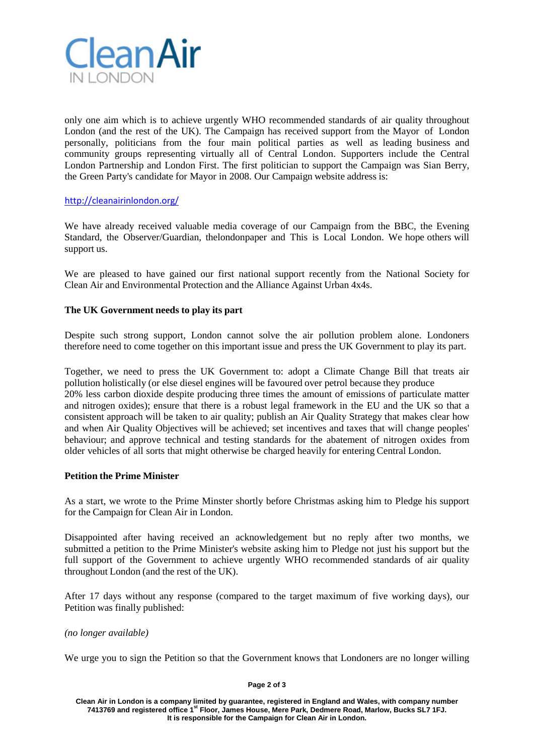

only one aim which is to achieve urgently WHO recommended standards of air quality throughout London (and the rest of the UK). The Campaign has received support from the Mayor of London personally, politicians from the four main political parties as well as leading business and community groups representing virtually all of Central London. Supporters include the Central London Partnership and London First. The first politician to support the Campaign was Sian Berry, the Green Party's candidate for Mayor in 2008. Our Campaign website address is:

## <http://cleanairinlondon.org/>

We have already received valuable media coverage of our Campaign from the BBC, the Evening Standard, the Observer/Guardian, thelondonpaper and This is Local London. We hope others will support us.

We are pleased to have gained our first national support recently from the National Society for Clean Air and Environmental Protection and the Alliance Against Urban 4x4s.

## **The UK Government needs to play its part**

Despite such strong support, London cannot solve the air pollution problem alone. Londoners therefore need to come together on this important issue and press the UK Government to play its part.

Together, we need to press the UK Government to: adopt a Climate Change Bill that treats air pollution holistically (or else diesel engines will be favoured over petrol because they produce 20% less carbon dioxide despite producing three times the amount of emissions of particulate matter and nitrogen oxides); ensure that there is a robust legal framework in the EU and the UK so that a consistent approach will be taken to air quality; publish an Air Quality Strategy that makes clear how and when Air Quality Objectives will be achieved; set incentives and taxes that will change peoples' behaviour; and approve technical and testing standards for the abatement of nitrogen oxides from older vehicles of all sorts that might otherwise be charged heavily for entering Central London.

## **Petition the Prime Minister**

As a start, we wrote to the Prime Minster shortly before Christmas asking him to Pledge his support for the Campaign for Clean Air in London.

Disappointed after having received an acknowledgement but no reply after two months, we submitted a petition to the Prime Minister's website asking him to Pledge not just his support but the full support of the Government to achieve urgently WHO recommended standards of air quality throughout London (and the rest of the UK).

After 17 days without any response (compared to the target maximum of five working days), our Petition was finally published:

*(no longer available)*

We urge you to sign the Petition so that the Government knows that Londoners are no longer willing

#### **Page 2 of 3**

**Clean Air in London is a company limited by guarantee, registered in England and Wales, with company number 7413769 and registered office 1st Floor, James House, Mere Park, Dedmere Road, Marlow, Bucks SL7 1FJ. It is responsible for the Campaign for Clean Air in London.**